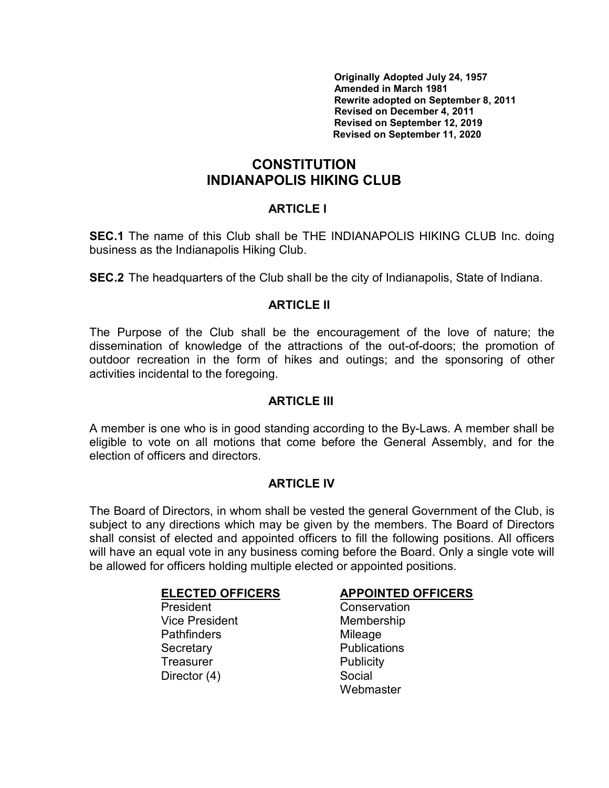Originally Adopted July 24, 1957 Amended in March 1981 Rewrite adopted on September 8, 2011 Revised on December 4, 2011 Revised on September 12, 2019 Revised on September 11, 2020

# **CONSTITUTION** INDIANAPOLIS HIKING CLUB

## ARTICLE I

SEC.1 The name of this Club shall be THE INDIANAPOLIS HIKING CLUB Inc. doing business as the Indianapolis Hiking Club.

SEC.2 The headquarters of the Club shall be the city of Indianapolis, State of Indiana.

## ARTICLE II

The Purpose of the Club shall be the encouragement of the love of nature; the dissemination of knowledge of the attractions of the out-of-doors; the promotion of outdoor recreation in the form of hikes and outings; and the sponsoring of other activities incidental to the foregoing.

## ARTICLE III

A member is one who is in good standing according to the By-Laws. A member shall be eligible to vote on all motions that come before the General Assembly, and for the election of officers and directors.

## ARTICLE IV

The Board of Directors, in whom shall be vested the general Government of the Club, is subject to any directions which may be given by the members. The Board of Directors shall consist of elected and appointed officers to fill the following positions. All officers will have an equal vote in any business coming before the Board. Only a single vote will be allowed for officers holding multiple elected or appointed positions.

President Conservation Vice President Membership Pathfinders Mileage Secretary **Publications** Treasurer **Publicity** Director (4) Social

## ELECTED OFFICERS APPOINTED OFFICERS

**Webmaster**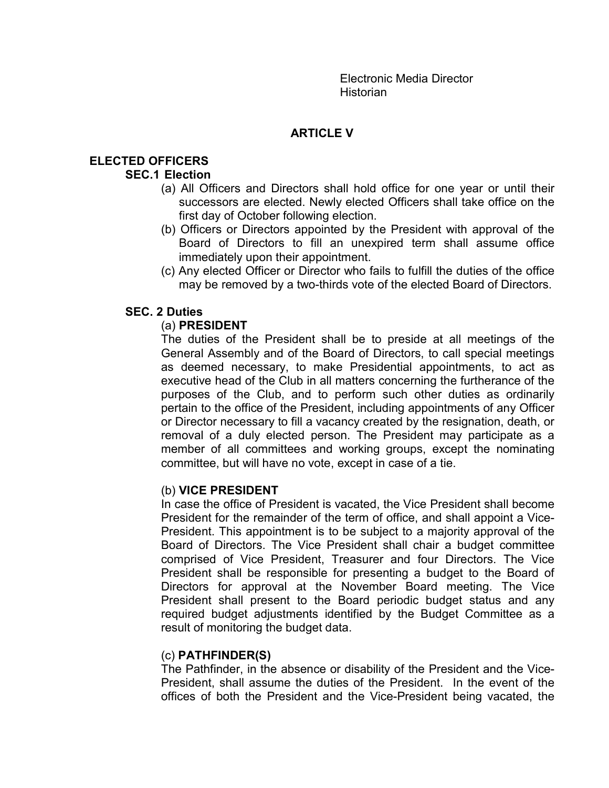Electronic Media Director **Historian** 

# ARTICLE V

# ELECTED OFFICERS

## SEC.1 Election

- (a) All Officers and Directors shall hold office for one year or until their successors are elected. Newly elected Officers shall take office on the first day of October following election.
- (b) Officers or Directors appointed by the President with approval of the Board of Directors to fill an unexpired term shall assume office immediately upon their appointment.
- (c) Any elected Officer or Director who fails to fulfill the duties of the office may be removed by a two-thirds vote of the elected Board of Directors.

## SEC. 2 Duties

## (a) PRESIDENT

 The duties of the President shall be to preside at all meetings of the General Assembly and of the Board of Directors, to call special meetings as deemed necessary, to make Presidential appointments, to act as executive head of the Club in all matters concerning the furtherance of the purposes of the Club, and to perform such other duties as ordinarily pertain to the office of the President, including appointments of any Officer or Director necessary to fill a vacancy created by the resignation, death, or removal of a duly elected person. The President may participate as a member of all committees and working groups, except the nominating committee, but will have no vote, except in case of a tie.

### (b) VICE PRESIDENT

 In case the office of President is vacated, the Vice President shall become President for the remainder of the term of office, and shall appoint a Vice-President. This appointment is to be subject to a majority approval of the Board of Directors. The Vice President shall chair a budget committee comprised of Vice President, Treasurer and four Directors. The Vice President shall be responsible for presenting a budget to the Board of Directors for approval at the November Board meeting. The Vice President shall present to the Board periodic budget status and any required budget adjustments identified by the Budget Committee as a result of monitoring the budget data.

### (c) PATHFINDER(S)

 The Pathfinder, in the absence or disability of the President and the Vice-President, shall assume the duties of the President. In the event of the offices of both the President and the Vice-President being vacated, the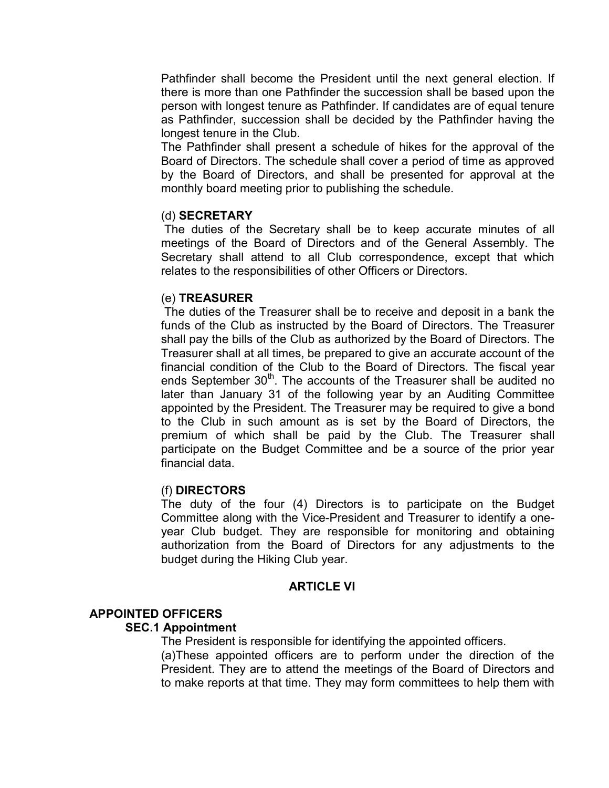Pathfinder shall become the President until the next general election. If there is more than one Pathfinder the succession shall be based upon the person with longest tenure as Pathfinder. If candidates are of equal tenure as Pathfinder, succession shall be decided by the Pathfinder having the longest tenure in the Club.

The Pathfinder shall present a schedule of hikes for the approval of the Board of Directors. The schedule shall cover a period of time as approved by the Board of Directors, and shall be presented for approval at the monthly board meeting prior to publishing the schedule.

### (d) SECRETARY

 The duties of the Secretary shall be to keep accurate minutes of all meetings of the Board of Directors and of the General Assembly. The Secretary shall attend to all Club correspondence, except that which relates to the responsibilities of other Officers or Directors.

#### (e) TREASURER

 The duties of the Treasurer shall be to receive and deposit in a bank the funds of the Club as instructed by the Board of Directors. The Treasurer shall pay the bills of the Club as authorized by the Board of Directors. The Treasurer shall at all times, be prepared to give an accurate account of the financial condition of the Club to the Board of Directors. The fiscal year ends September 30<sup>th</sup>. The accounts of the Treasurer shall be audited no later than January 31 of the following year by an Auditing Committee appointed by the President. The Treasurer may be required to give a bond to the Club in such amount as is set by the Board of Directors, the premium of which shall be paid by the Club. The Treasurer shall participate on the Budget Committee and be a source of the prior year financial data.

### (f) DIRECTORS

The duty of the four (4) Directors is to participate on the Budget Committee along with the Vice-President and Treasurer to identify a oneyear Club budget. They are responsible for monitoring and obtaining authorization from the Board of Directors for any adjustments to the budget during the Hiking Club year.

#### ARTICLE VI

### APPOINTED OFFICERS

#### SEC.1 Appointment

The President is responsible for identifying the appointed officers.

(a)These appointed officers are to perform under the direction of the President. They are to attend the meetings of the Board of Directors and to make reports at that time. They may form committees to help them with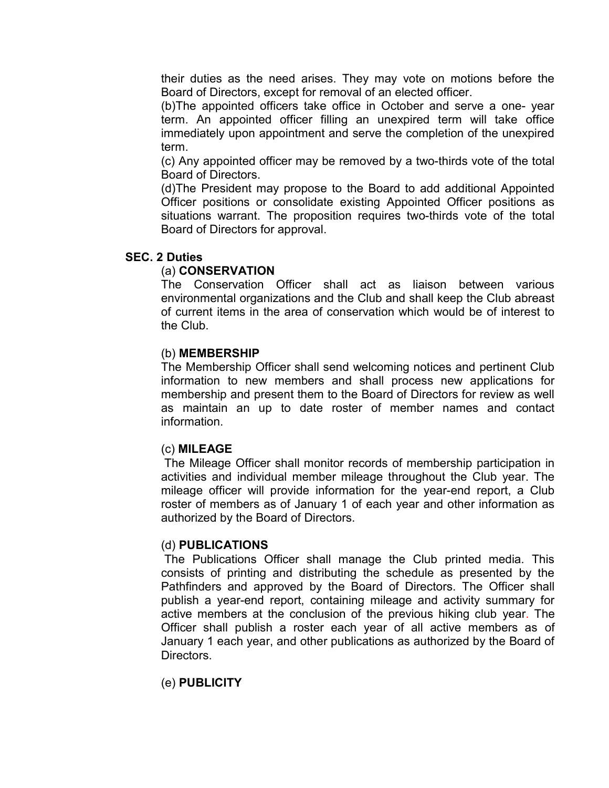their duties as the need arises. They may vote on motions before the Board of Directors, except for removal of an elected officer.

(b)The appointed officers take office in October and serve a one- year term. An appointed officer filling an unexpired term will take office immediately upon appointment and serve the completion of the unexpired term.

(c) Any appointed officer may be removed by a two-thirds vote of the total Board of Directors.

(d)The President may propose to the Board to add additional Appointed Officer positions or consolidate existing Appointed Officer positions as situations warrant. The proposition requires two-thirds vote of the total Board of Directors for approval.

### SEC. 2 Duties

#### (a) CONSERVATION

 The Conservation Officer shall act as liaison between various environmental organizations and the Club and shall keep the Club abreast of current items in the area of conservation which would be of interest to the Club.

#### (b) MEMBERSHIP

 The Membership Officer shall send welcoming notices and pertinent Club information to new members and shall process new applications for membership and present them to the Board of Directors for review as well as maintain an up to date roster of member names and contact information.

#### (c) MILEAGE

The Mileage Officer shall monitor records of membership participation in activities and individual member mileage throughout the Club year. The mileage officer will provide information for the year-end report, a Club roster of members as of January 1 of each year and other information as authorized by the Board of Directors.

#### (d) PUBLICATIONS

 The Publications Officer shall manage the Club printed media. This consists of printing and distributing the schedule as presented by the Pathfinders and approved by the Board of Directors. The Officer shall publish a year-end report, containing mileage and activity summary for active members at the conclusion of the previous hiking club year. The Officer shall publish a roster each year of all active members as of January 1 each year, and other publications as authorized by the Board of Directors.

### (e) PUBLICITY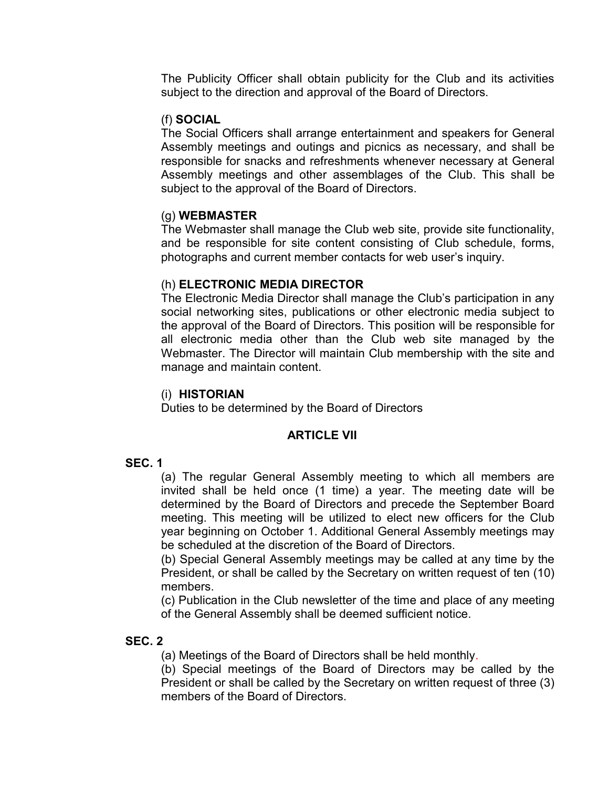The Publicity Officer shall obtain publicity for the Club and its activities subject to the direction and approval of the Board of Directors.

## (f) SOCIAL

The Social Officers shall arrange entertainment and speakers for General Assembly meetings and outings and picnics as necessary, and shall be responsible for snacks and refreshments whenever necessary at General Assembly meetings and other assemblages of the Club. This shall be subject to the approval of the Board of Directors.

### (g) WEBMASTER

 The Webmaster shall manage the Club web site, provide site functionality, and be responsible for site content consisting of Club schedule, forms, photographs and current member contacts for web user's inquiry.

## (h) ELECTRONIC MEDIA DIRECTOR

 The Electronic Media Director shall manage the Club's participation in any social networking sites, publications or other electronic media subject to the approval of the Board of Directors. This position will be responsible for all electronic media other than the Club web site managed by the Webmaster. The Director will maintain Club membership with the site and manage and maintain content.

## (i) HISTORIAN

Duties to be determined by the Board of Directors

## ARTICLE VII

## SEC. 1

(a) The regular General Assembly meeting to which all members are invited shall be held once (1 time) a year. The meeting date will be determined by the Board of Directors and precede the September Board meeting. This meeting will be utilized to elect new officers for the Club year beginning on October 1. Additional General Assembly meetings may be scheduled at the discretion of the Board of Directors.

(b) Special General Assembly meetings may be called at any time by the President, or shall be called by the Secretary on written request of ten (10) members.

(c) Publication in the Club newsletter of the time and place of any meeting of the General Assembly shall be deemed sufficient notice.

## SEC. 2

(a) Meetings of the Board of Directors shall be held monthly.

(b) Special meetings of the Board of Directors may be called by the President or shall be called by the Secretary on written request of three (3) members of the Board of Directors.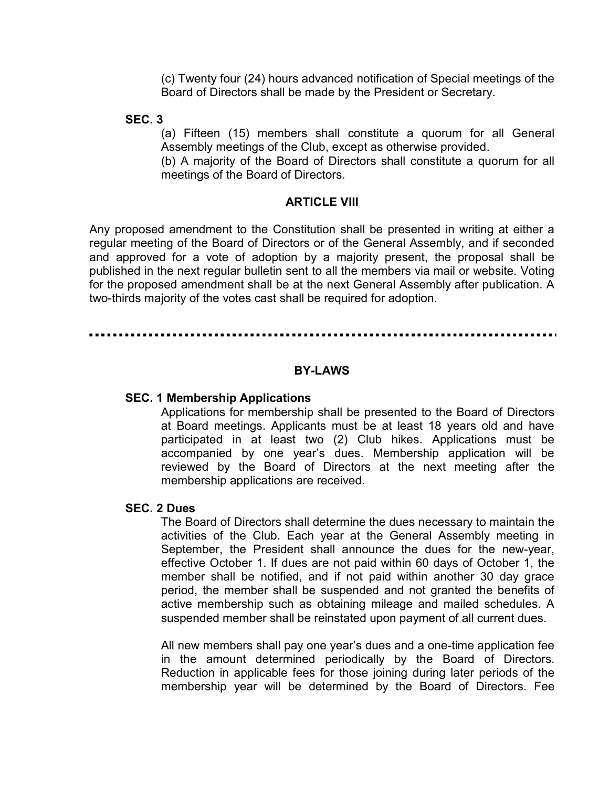(c) Twenty four (24) hours advanced notification of Special meetings of the Board of Directors shall be made by the President or Secretary.

SEC. 3

(a) Fifteen (15) members shall constitute a quorum for all General Assembly meetings of the Club, except as otherwise provided.

(b) A majority of the Board of Directors shall constitute a quorum for all meetings of the Board of Directors.

#### ARTICLE VIII

Any proposed amendment to the Constitution shall be presented in writing at either a regular meeting of the Board of Directors or of the General Assembly, and if seconded and approved for a vote of adoption by a majority present, the proposal shall be published in the next regular bulletin sent to all the members via mail or website. Voting for the proposed amendment shall be at the next General Assembly after publication. A two-thirds majority of the votes cast shall be required for adoption.

#### BY-LAWS

#### SEC. 1 Membership Applications

Applications for membership shall be presented to the Board of Directors at Board meetings. Applicants must be at least 18 years old and have participated in at least two (2) Club hikes. Applications must be accompanied by one year's dues. Membership application will be reviewed by the Board of Directors at the next meeting after the membership applications are received.

#### SEC. 2 Dues

The Board of Directors shall determine the dues necessary to maintain the activities of the Club. Each year at the General Assembly meeting in September, the President shall announce the dues for the new-year, effective October 1. If dues are not paid within 60 days of October 1, the member shall be notified, and if not paid within another 30 day grace period, the member shall be suspended and not granted the benefits of active membership such as obtaining mileage and mailed schedules. A suspended member shall be reinstated upon payment of all current dues.

All new members shall pay one year's dues and a one-time application fee in the amount determined periodically by the Board of Directors. Reduction in applicable fees for those joining during later periods of the membership year will be determined by the Board of Directors. Fee